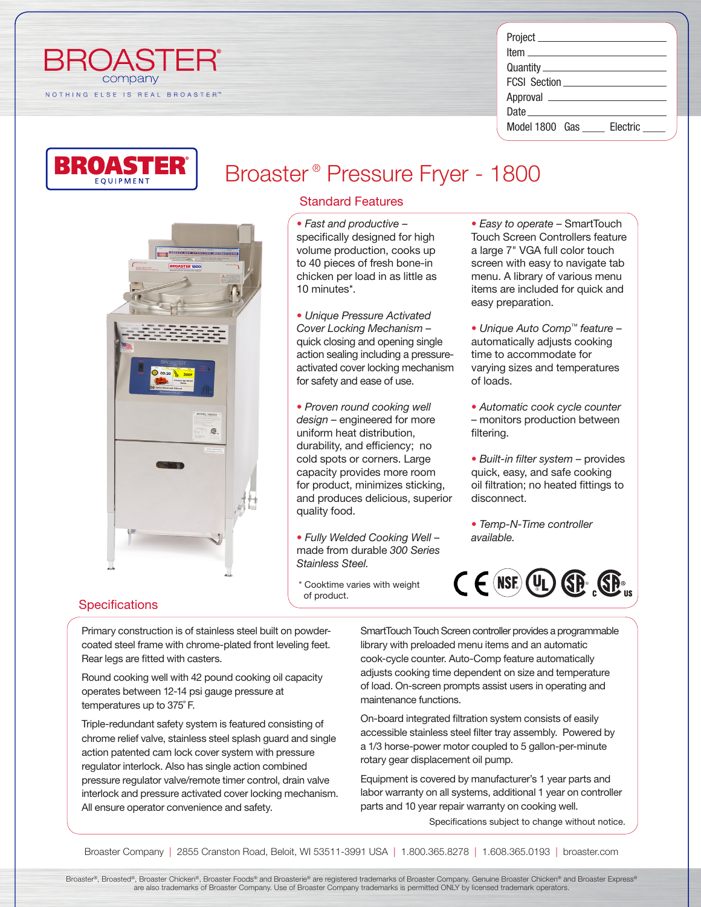| <b>BROAST</b> |  |  |                                |  |  |  |  |  |  |  |
|---------------|--|--|--------------------------------|--|--|--|--|--|--|--|
| company       |  |  |                                |  |  |  |  |  |  |  |
|               |  |  | NOTHING ELSE IS REAL BROASTER™ |  |  |  |  |  |  |  |

| <u>Item_______________________</u> |
|------------------------------------|
|                                    |
| FCSI Section <b>Example 2019</b>   |
|                                    |
|                                    |
| Model 1800 Gas<br>Electric         |
|                                    |



# Broaster ® Pressure Fryer - 1800

# $GP$

# Standard Features

*• Fast and productive* – specifically designed for high volume production, cooks up to 40 pieces of fresh bone-in chicken per load in as little as 10 minutes\*.

*• Unique Pressure Activated Cover Locking Mechanism* – quick closing and opening single action sealing including a pressureactivated cover locking mechanism for safety and ease of use.

*• Proven round cooking well design* – engineered for more uniform heat distribution, durability, and efficiency; no cold spots or corners. Large capacity provides more room for product, minimizes sticking, and produces delicious, superior quality food.

*• Fully Welded Cooking Well* – made from durable *300 Series Stainless Steel.*

\* Cooktime varies with weight of product.

*• Easy to operate* – SmartTouch Touch Screen Controllers feature a large 7" VGA full color touch screen with easy to navigate tab menu. A library of various menu items are included for quick and easy preparation.

*• Unique Auto Comp™ feature* – automatically adjusts cooking time to accommodate for varying sizes and temperatures of loads.

*• Automatic cook cycle counter* – monitors production between filtering.

*• Built-in filter system* – provides quick, easy, and safe cooking oil filtration; no heated fittings to disconnect.

*• Temp-N-Time controller available.*



# **Specifications**

Primary construction is of stainless steel built on powdercoated steel frame with chrome-plated front leveling feet. Rear legs are fitted with casters.

Round cooking well with 42 pound cooking oil capacity operates between 12-14 psi gauge pressure at temperatures up to 375˚ F.

Triple-redundant safety system is featured consisting of chrome relief valve, stainless steel splash guard and single action patented cam lock cover system with pressure regulator interlock. Also has single action combined pressure regulator valve/remote timer control, drain valve interlock and pressure activated cover locking mechanism. All ensure operator convenience and safety.

SmartTouch Touch Screen controller provides a programmable library with preloaded menu items and an automatic cook-cycle counter. Auto-Comp feature automatically adjusts cooking time dependent on size and temperature of load. On-screen prompts assist users in operating and maintenance functions.

On-board integrated filtration system consists of easily accessible stainless steel filter tray assembly. Powered by a 1/3 horse-power motor coupled to 5 gallon-per-minute rotary gear displacement oil pump.

Equipment is covered by manufacturer's 1 year parts and labor warranty on all systems, additional 1 year on controller parts and 10 year repair warranty on cooking well.

Specifications subject to change without notice.

Broaster Company | 2855 Cranston Road, Beloit, WI 53511-3991 USA | 1.800.365.8278 | 1.608.365.0193 | broaster.com

Broaster®, Broasted®, Broaster Chicken®, Broaster Foods® and Broasterie® are registered trademarks of Broaster Company. Genuine Broaster Chicken® and Broaster Express® are also trademarks of Broaster Company. Use of Broaster Company trademarks is permitted ONLY by licensed trademark operators.